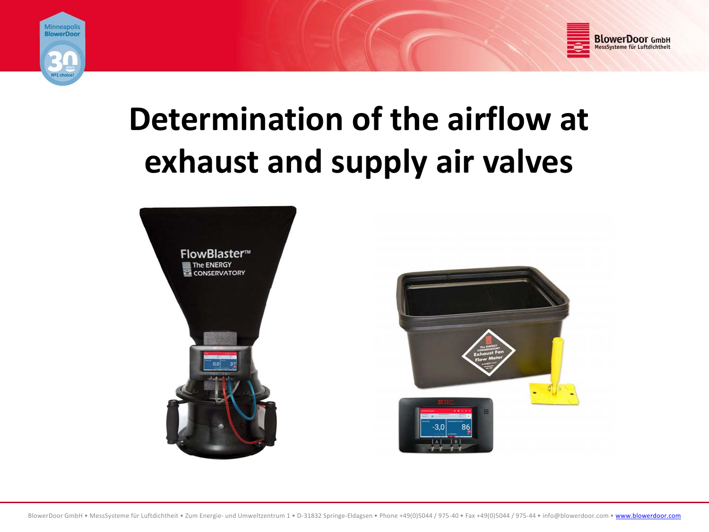



# **Determination of the airflow at exhaust and supply air valves**

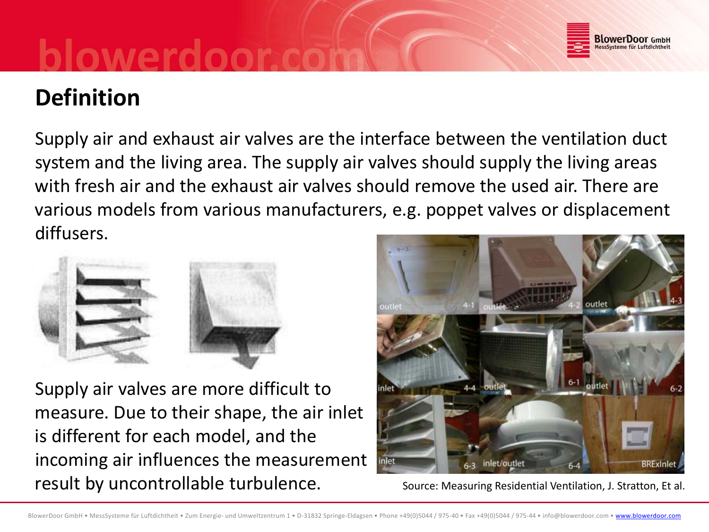

### **Definition**

Supply air and exhaust air valves are the interface between the ventilation duct system and the living area. The supply air valves should supply the living areas with fresh air and the exhaust air valves should remove the used air. There are various models from various manufacturers, e.g. poppet valves or displacement diffusers.



Supply air valves are more difficult to measure. Due to their shape, the air inlet is different for each model, and the incoming air influences the measurement<br>result by uncontrollable turbulence. result by uncontrollable turbulence.



Source: Measuring Residential Ventilation, J. Stratton, Et al.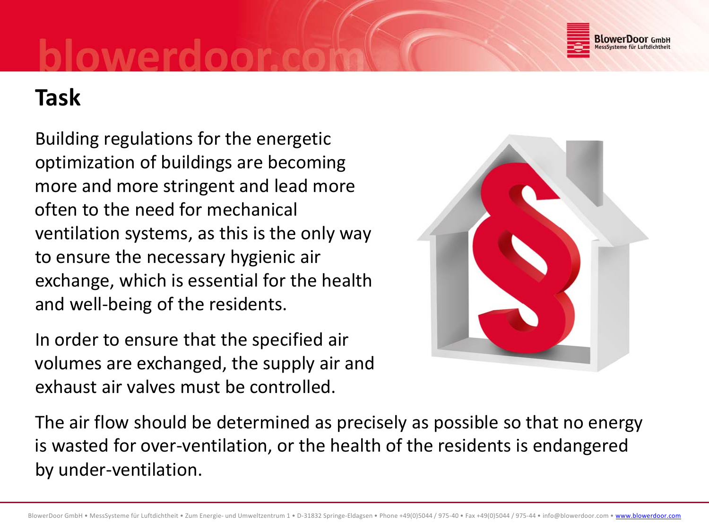

### **Task**

Building regulations for the energetic optimization of buildings are becoming more and more stringent and lead more often to the need for mechanical ventilation systems, as this is the only way to ensure the necessary hygienic air exchange, which is essential for the health and well-being of the residents.

In order to ensure that the specified air volumes are exchanged, the supply air and exhaust air valves must be controlled.



The air flow should be determined as precisely as possible so that no energy is wasted for over‐ventilation, or the health of the residents is endangered by under‐ventilation.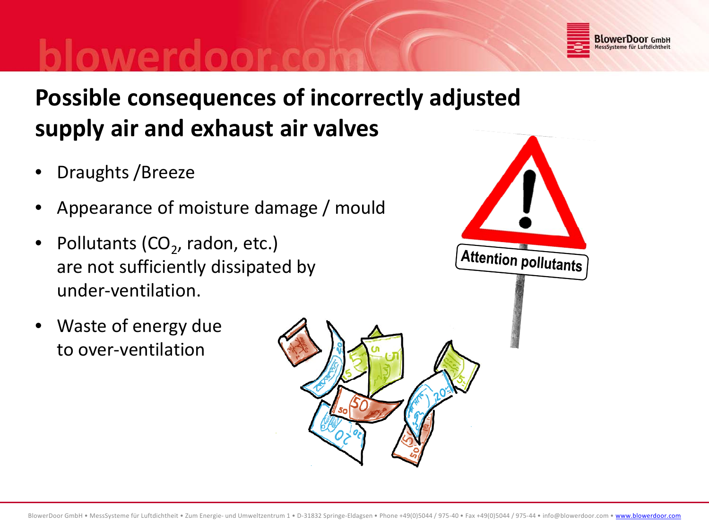

# **Possible consequences of incorrectly adjusted supply air and exhaust air valves**

- •Draughts /Breeze
- •Appearance of moisture damage / mould
- •• Pollutants (CO<sub>2</sub>, radon, etc.) are not sufficiently dissipated by under‐ventilation.
- • Waste of energy due to over‐ventilation

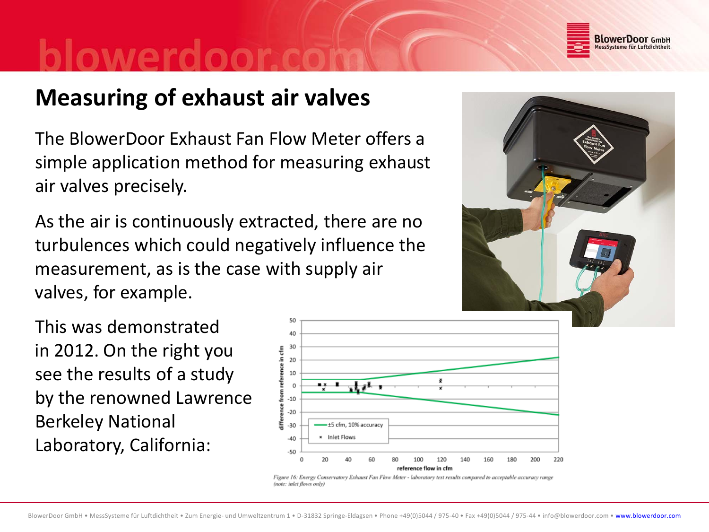

### **Measuring of exhaust air valves**

The BlowerDoor Exhaust Fan Flow Meter offers <sup>a</sup> simple application method for measuring exhaust air valves precisely.

As the air is continuously extracted, there are no turbulences which could negatively influence the measurement, as is the case with supply air valves, for example.





Figure 16: Energy Conservatory Exhaust Fan Flow Meter - laboratory test results compared to acceptable accuracy range (note: inlet flows only)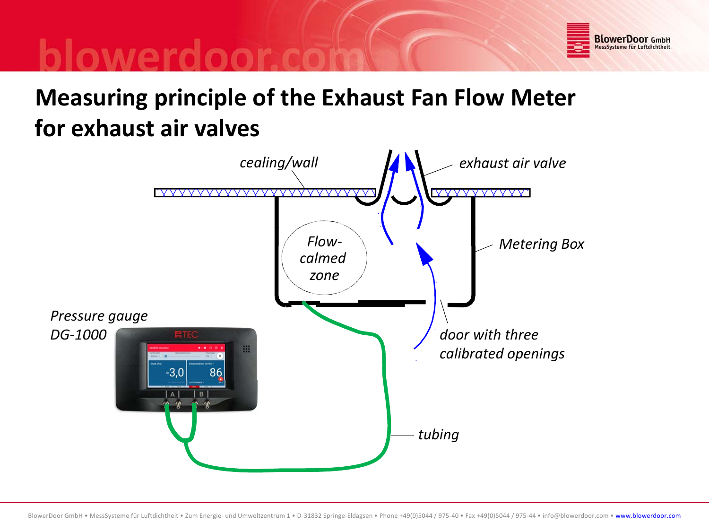

## **Measuring principle of the Exhaust Fan Flow Meter for exhaust air valves**

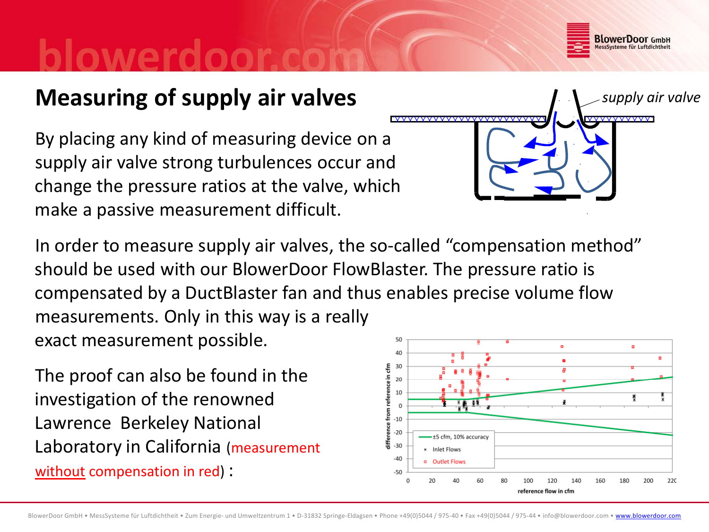

*supply air valve*

### **Measuring of supply air valves**

By placing any kind of measuring device on <sup>a</sup> supply air valve strong turbulences occur and change the pressure ratios at the valve, which make <sup>a</sup> passive measurement difficult.

In order to measure supply air valves, the so‐called "compensation method" should be used with our BlowerDoor FlowBlaster. The pressure ratio is compensated by <sup>a</sup> DuctBlaster fan and thus enables precise volume flow measurements. Only in this way is <sup>a</sup> really exact measurement possible. 50  $\blacksquare$ 

The proof can also be found in the investigation of the renowned Lawrence Berkeley National Laboratory in California (measurement without compensation in red) :

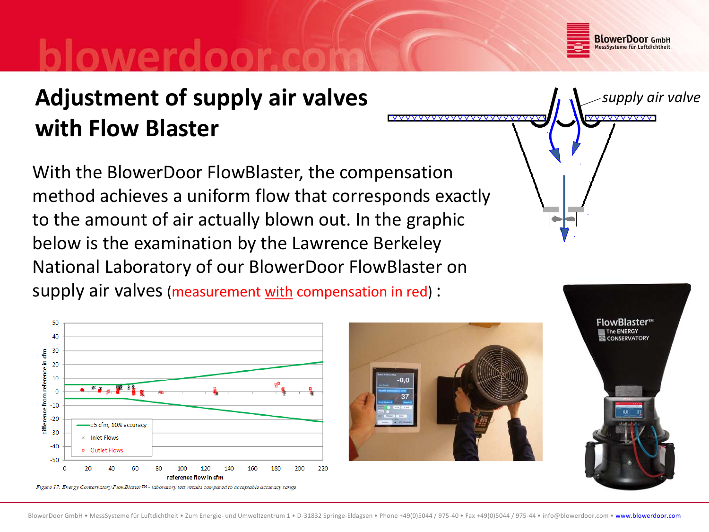

# **Adjustment of supply air valves with Flow Blaster**

With the BlowerDoor FlowBlaster, the compensation method achieves <sup>a</sup> uniform flow that corresponds exactly to the amount of air actually blown out. In the graphic below is the examination by the Lawrence Berkeley National Laboratory of our BlowerDoor FlowBlaster on supply air valves (measurement with compensation in red) :







FlowBlaster™ **CONSERVATORY**